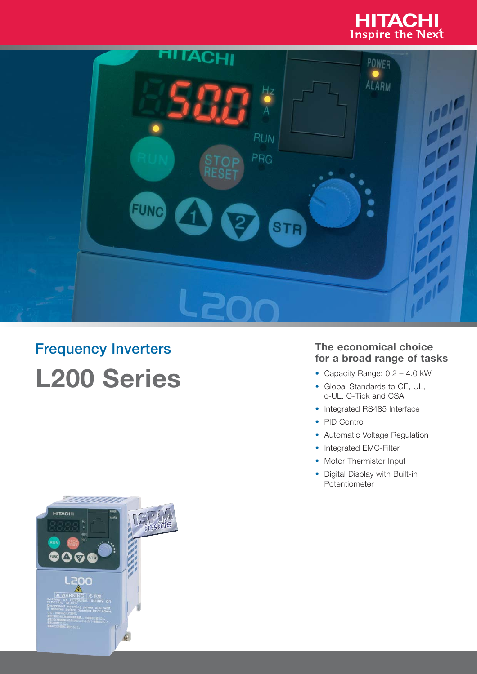



# **Frequency Inverters L200 Series**



## **The economical choice**

- Capacity Range: 0.2 4.0 kW
- Global Standards to CE, UL, c-UL, C-Tick and CSA
- Integrated RS485 Interface
- PID Control
- Automatic Voltage Regulation
- Integrated EMC-Filter<br>• Motor Thermistor Input
- 
- Digital Display with Built-in Potentiometer